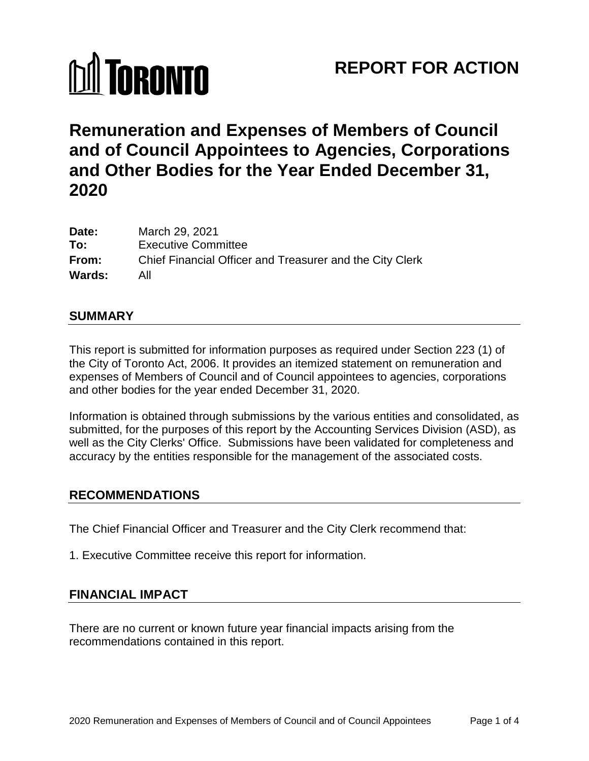# **M** TORONTO

# **REPORT FOR ACTION**

# **Remuneration and Expenses of Members of Council and of Council Appointees to Agencies, Corporations and Other Bodies for the Year Ended December 31, 2020**

| Date:         | March 29, 2021                                           |
|---------------|----------------------------------------------------------|
| To:           | <b>Executive Committee</b>                               |
| From:         | Chief Financial Officer and Treasurer and the City Clerk |
| <b>Wards:</b> | All                                                      |

#### **SUMMARY**

This report is submitted for information purposes as required under Section 223 (1) of the City of Toronto Act, 2006. It provides an itemized statement on remuneration and expenses of Members of Council and of Council appointees to agencies, corporations and other bodies for the year ended December 31, 2020.

Information is obtained through submissions by the various entities and consolidated, as submitted, for the purposes of this report by the Accounting Services Division (ASD), as well as the City Clerks' Office. Submissions have been validated for completeness and accuracy by the entities responsible for the management of the associated costs.

### **RECOMMENDATIONS**

The Chief Financial Officer and Treasurer and the City Clerk recommend that:

1. Executive Committee receive this report for information.

# **FINANCIAL IMPACT**

There are no current or known future year financial impacts arising from the recommendations contained in this report.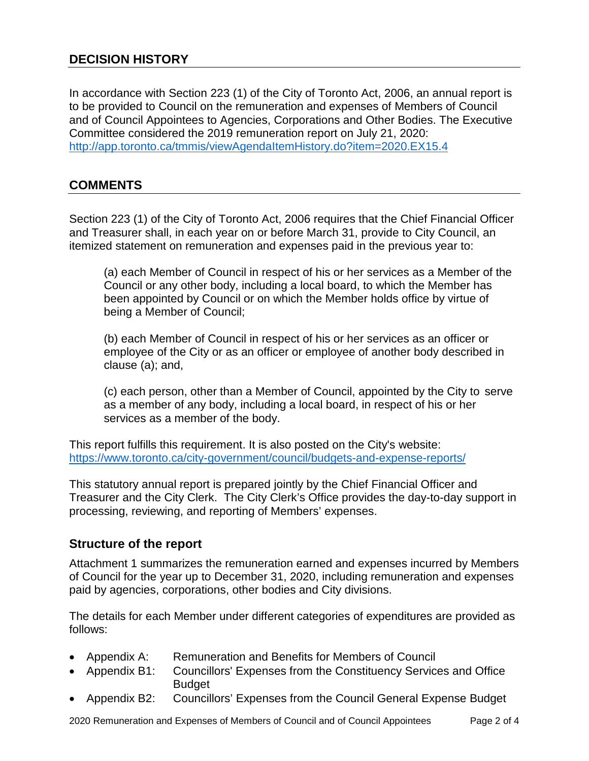# **DECISION HISTORY**

In accordance with Section 223 (1) of the City of Toronto Act, 2006, an annual report is to be provided to Council on the remuneration and expenses of Members of Council and of Council Appointees to Agencies, Corporations and Other Bodies. The Executive Committee considered the 2019 remuneration report on July 21, 2020: <http://app.toronto.ca/tmmis/viewAgendaItemHistory.do?item=2020.EX15.4>

### **COMMENTS**

Section 223 (1) of the City of Toronto Act, 2006 requires that the Chief Financial Officer and Treasurer shall, in each year on or before March 31, provide to City Council, an itemized statement on remuneration and expenses paid in the previous year to:

(a) each Member of Council in respect of his or her services as a Member of the Council or any other body, including a local board, to which the Member has been appointed by Council or on which the Member holds office by virtue of being a Member of Council;

(b) each Member of Council in respect of his or her services as an officer or employee of the City or as an officer or employee of another body described in clause (a); and,

(c) each person, other than a Member of Council, appointed by the City to serve as a member of any body, including a local board, in respect of his or her services as a member of the body.

This report fulfills this requirement. It is also posted on the City's website: https://www.toronto.ca/city-government/council/budgets-and-expense-reports/

This statutory annual report is prepared jointly by the Chief Financial Officer and Treasurer and the City Clerk. The City Clerk's Office provides the day-to-day support in processing, reviewing, and reporting of Members' expenses.

#### **Structure of the report**

Attachment 1 summarizes the remuneration earned and expenses incurred by Members of Council for the year up to December 31, 2020, including remuneration and expenses paid by agencies, corporations, other bodies and City divisions.

The details for each Member under different categories of expenditures are provided as follows:

- Appendix A: Remuneration and Benefits for Members of Council
- Appendix B1: Councillors' Expenses from the Constituency Services and Office **Budget**
- Appendix B2: Councillors' Expenses from the Council General Expense Budget

2020 Remuneration and Expenses of Members of Council and of Council Appointees Page 2 of 4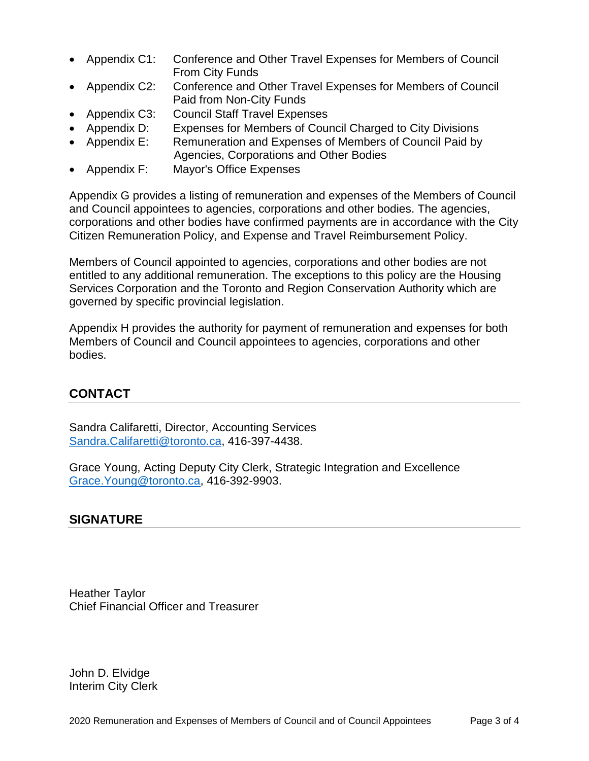- Appendix C1: Conference and Other Travel Expenses for Members of Council From City Funds
- Appendix C2: Conference and Other Travel Expenses for Members of Council Paid from Non-City Funds
- Appendix C3: Council Staff Travel Expenses
- Appendix D: Expenses for Members of Council Charged to City Divisions
- Appendix E: Remuneration and Expenses of Members of Council Paid by Agencies, Corporations and Other Bodies
- Appendix F: Mayor's Office Expenses
- Appendix G provides a listing of remuneration and expenses of the Members of Council and Council appointees to agencies, corporations and other bodies. The agencies, corporations and other bodies have confirmed payments are in accordance with the City Citizen Remuneration Policy, and Expense and Travel Reimbursement Policy.

Members of Council appointed to agencies, corporations and other bodies are not entitled to any additional remuneration. The exceptions to this policy are the Housing Services Corporation and the Toronto and Region Conservation Authority which are governed by specific provincial legislation.

Appendix H provides the authority for payment of remuneration and expenses for both Members of Council and Council appointees to agencies, corporations and other bodies.

# **CONTACT**

Sandra Califaretti, Director, Accounting Services [Sandra.Califaretti@toronto.ca,](mailto:Sandra.Califaretti@toronto.ca) 416-397-4438.

Grace Young, Acting Deputy City Clerk, Strategic Integration and Excellence [Grace.Young@toronto.ca,](mailto:Grace.Young@toronto.ca) 416-392-9903.

### **SIGNATURE**

Heather Taylor Chief Financial Officer and Treasurer

John D. Elvidge Interim City Clerk